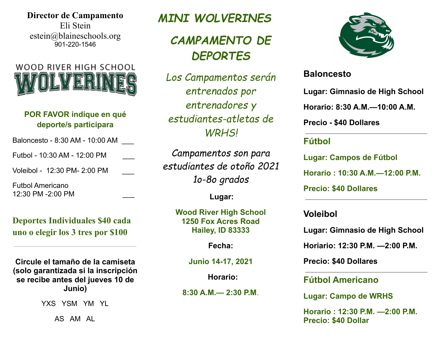**Director de Campamento** Eli Stein estein@blaineschools.org 901-220-1546



### **POR FAVOR indique en qué deporte/s participara**

Baloncesto - 8:30 AM - 10:00 AM \_\_\_

Futbol - 10:30 AM - 12:00 PM \_\_\_

Voleibol - 12:30 PM- 2:00 PM \_\_\_

Futbol Americano 12:30 PM -2:00 PM \_\_\_

**Deportes Individuales \$40 cada uno o elegir los 3 tres por \$100**

**Circule el tamaño de la camiseta (solo garantizada si la inscripción se recibe antes del jueves 10 de Junio)**

YXS YSM YM YL

AS AM AL

## *MINI WOLVERINES*

# *CAMPAMENTO DE DEPORTES*

*Los Campamentos serán entrenados por entrenadores y estudiantes-atletas de WRHS!*

*Campamentos son para estudiantes de otoño 2021 1o-8o grados*

**Lugar:**

**Wood River High School 1250 Fox Acres Road Hailey, ID 83333**

**Fecha:**

**Junio 14-17, 2021**

**Horario:**

**8:30 A.M.— 2:30 P.M**.



## **Baloncesto**

**Lugar: Gimnasio de High School**

**Horario: 8:30 A.M.—10:00 A.M.**

**Precio - \$40 Dollares**

## **Fútbol**

**Lugar: Campos de Fútbol**

**Horario : 10:30 A.M.—12:00 P.M.**

**Precio: \$40 Dollares**

**Voleibol**

**Lugar: Gimnasio de High School**

**Horiario: 12:30 P.M. —2:00 P.M.**

**Precio: \$40 Dollares**

### **Fútbol Americano**

**Lugar: Campo de WRHS**

**Horario : 12:30 P.M. —2:00 P.M. Precio: \$40 Dollar**